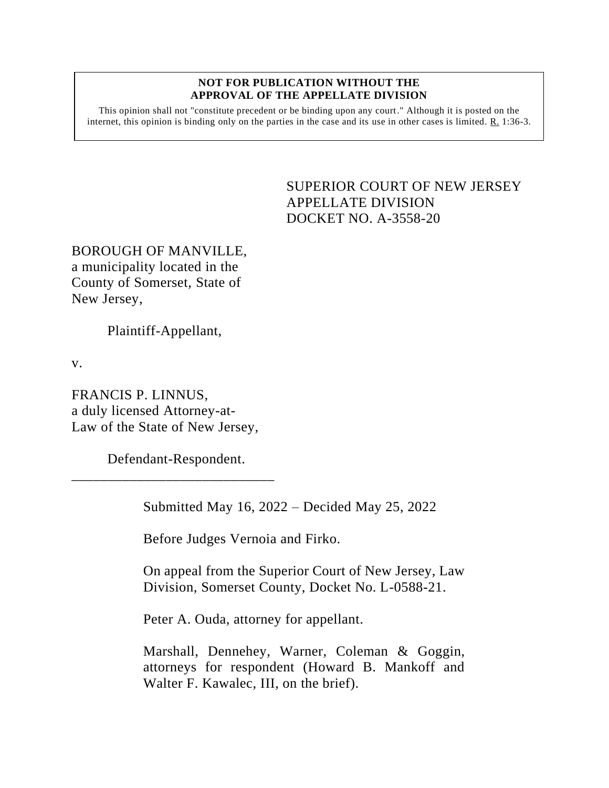#### **NOT FOR PUBLICATION WITHOUT THE APPROVAL OF THE APPELLATE DIVISION**

This opinion shall not "constitute precedent or be binding upon any court." Although it is posted on the internet, this opinion is binding only on the parties in the case and its use in other cases is limited.  $R_1$  1:36-3.

# <span id="page-0-0"></span>SUPERIOR COURT OF NEW JERSEY APPELLATE DIVISION DOCKET NO. A-3558-20

BOROUGH OF MANVILLE, a municipality located in the County of Somerset, State of New Jersey,

Plaintiff-Appellant,

v.

FRANCIS P. LINNUS, a duly licensed Attorney-at-Law of the State of New Jersey,

Defendant-Respondent.

\_\_\_\_\_\_\_\_\_\_\_\_\_\_\_\_\_\_\_\_\_\_\_\_\_\_\_\_

Submitted May 16, 2022 – Decided May 25, 2022

Before Judges Vernoia and Firko.

On appeal from the Superior Court of New Jersey, Law Division, Somerset County, Docket No. L-0588-21.

Peter A. Ouda, attorney for appellant.

Marshall, Dennehey, Warner, Coleman & Goggin, attorneys for respondent (Howard B. Mankoff and Walter F. Kawalec, III, on the brief).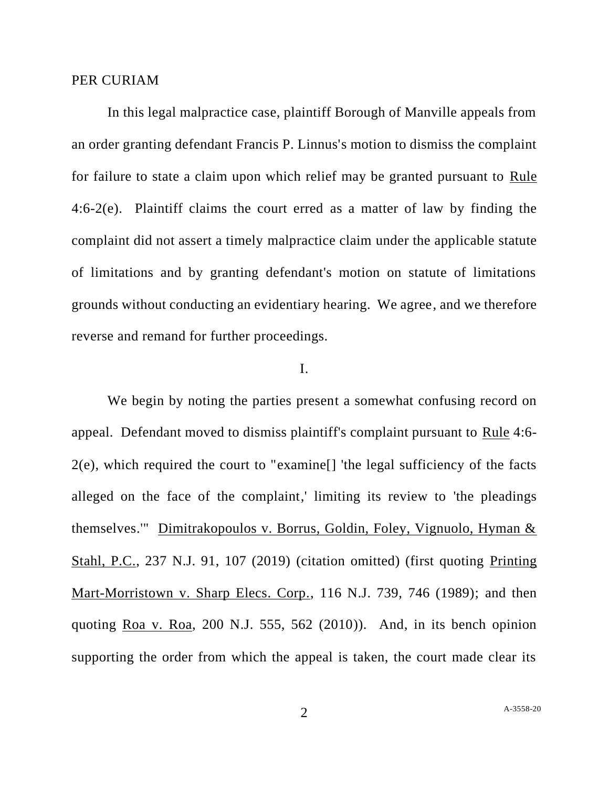### PER CURIAM

In this legal malpractice case, plaintiff Borough of Manville appeals from an order granting defendant Francis P. Linnus's motion to dismiss the complaint for failure to state a claim upon which relief may be granted pursuant to Rule 4:6-2(e). Plaintiff claims the court erred as a matter of law by finding the complaint did not assert a timely malpractice claim under the applicable statute of limitations and by granting defendant's motion on statute of limitations grounds without conducting an evidentiary hearing. We agree, and we therefore reverse and remand for further proceedings.

## I.

We begin by noting the parties present a somewhat confusing record on appeal. Defendant moved to dismiss plaintiff's complaint pursuant to Rule 4:6- 2(e), which required the court to "examine[] 'the legal sufficiency of the facts alleged on the face of the complaint,' limiting its review to 'the pleadings themselves.'" Dimitrakopoulos v. Borrus, Goldin, Foley, Vignuolo, Hyman & Stahl, P.C., 237 N.J. 91, 107 (2019) (citation omitted) (first quoting Printing Mart-Morristown v. Sharp Elecs. Corp., 116 N.J. 739, 746 (1989); and then quoting Roa v. Roa, 200 N.J. 555, 562 (2010)). And, in its bench opinion supporting the order from which the appeal is taken, the court made clear its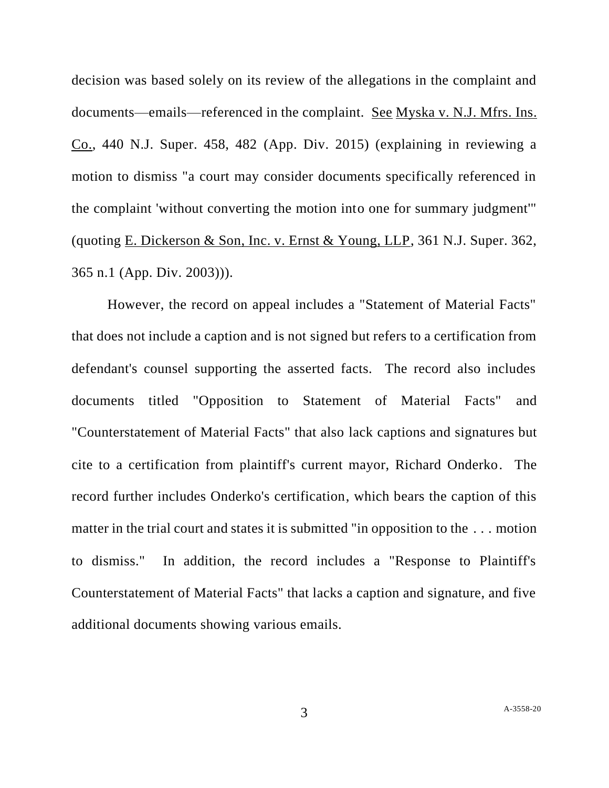decision was based solely on its review of the allegations in the complaint and documents—emails—referenced in the complaint. See Myska v. N.J. Mfrs. Ins. Co., 440 N.J. Super. 458, 482 (App. Div. 2015) (explaining in reviewing a motion to dismiss "a court may consider documents specifically referenced in the complaint 'without converting the motion into one for summary judgment'" (quoting E. Dickerson & Son, Inc. v. Ernst & Young, LLP, 361 N.J. Super. 362, 365 n.1 (App. Div. 2003))).

However, the record on appeal includes a "Statement of Material Facts" that does not include a caption and is not signed but refers to a certification from defendant's counsel supporting the asserted facts. The record also includes documents titled "Opposition to Statement of Material Facts" and "Counterstatement of Material Facts" that also lack captions and signatures but cite to a certification from plaintiff's current mayor, Richard Onderko. The record further includes Onderko's certification, which bears the caption of this matter in the trial court and states it is submitted "in opposition to the . . . motion to dismiss." In addition, the record includes a "Response to Plaintiff's Counterstatement of Material Facts" that lacks a caption and signature, and five additional documents showing various emails.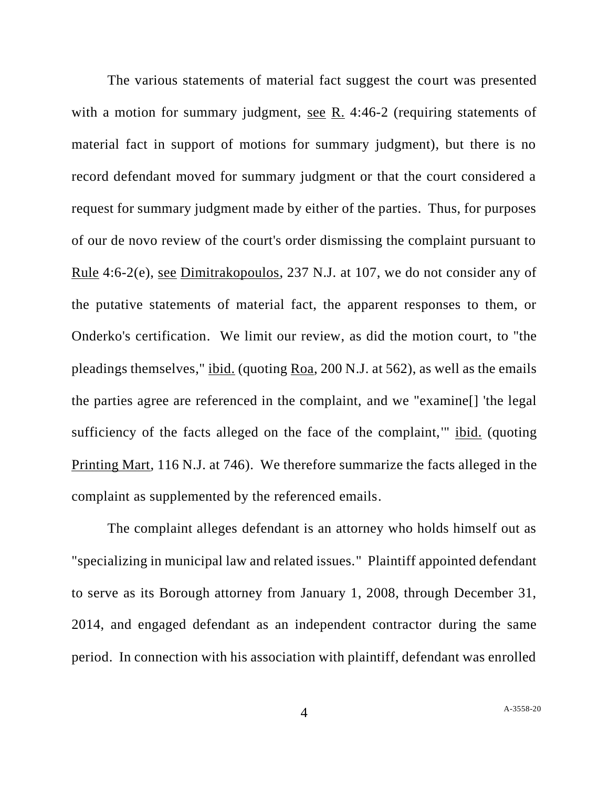The various statements of material fact suggest the court was presented with a motion for summary judgment, see R. 4:46-2 (requiring statements of material fact in support of motions for summary judgment), but there is no record defendant moved for summary judgment or that the court considered a request for summary judgment made by either of the parties. Thus, for purposes of our de novo review of the court's order dismissing the complaint pursuant to Rule 4:6-2(e), see Dimitrakopoulos, 237 N.J. at 107, we do not consider any of the putative statements of material fact, the apparent responses to them, or Onderko's certification. We limit our review, as did the motion court, to "the pleadings themselves," ibid. (quoting Roa, 200 N.J. at 562), as well as the emails the parties agree are referenced in the complaint, and we "examine[] 'the legal sufficiency of the facts alleged on the face of the complaint,'" ibid. (quoting Printing Mart, 116 N.J. at 746). We therefore summarize the facts alleged in the complaint as supplemented by the referenced emails.

The complaint alleges defendant is an attorney who holds himself out as "specializing in municipal law and related issues." Plaintiff appointed defendant to serve as its Borough attorney from January 1, 2008, through December 31, 2014, and engaged defendant as an independent contractor during the same period. In connection with his association with plaintiff, defendant was enrolled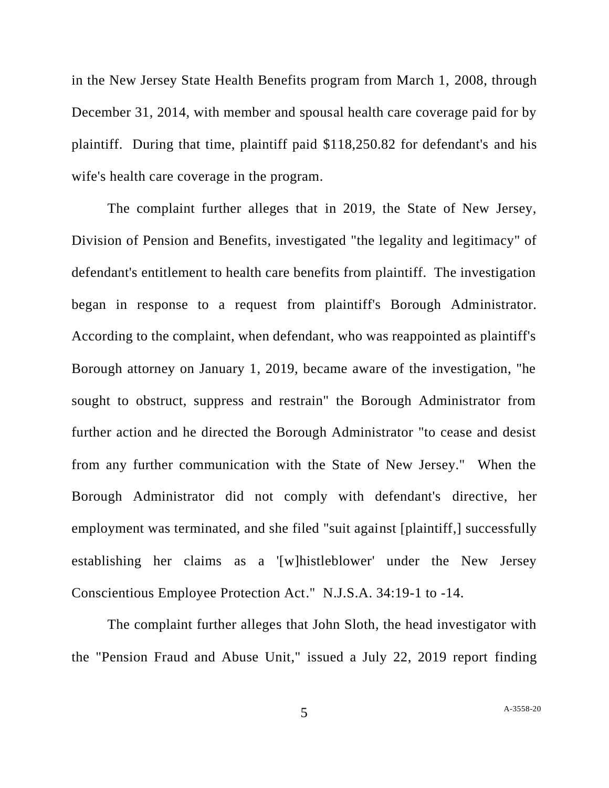in the New Jersey State Health Benefits program from March 1, 2008, through December 31, 2014, with member and spousal health care coverage paid for by plaintiff. During that time, plaintiff paid \$118,250.82 for defendant's and his wife's health care coverage in the program.

The complaint further alleges that in 2019, the State of New Jersey, Division of Pension and Benefits, investigated "the legality and legitimacy" of defendant's entitlement to health care benefits from plaintiff. The investigation began in response to a request from plaintiff's Borough Administrator. According to the complaint, when defendant, who was reappointed as plaintiff's Borough attorney on January 1, 2019, became aware of the investigation, "he sought to obstruct, suppress and restrain" the Borough Administrator from further action and he directed the Borough Administrator "to cease and desist from any further communication with the State of New Jersey." When the Borough Administrator did not comply with defendant's directive, her employment was terminated, and she filed "suit against [plaintiff,] successfully establishing her claims as a '[w]histleblower' under the New Jersey Conscientious Employee Protection Act." N.J.S.A. 34:19-1 to -14.

The complaint further alleges that John Sloth, the head investigator with the "Pension Fraud and Abuse Unit," issued a July 22, 2019 report finding

5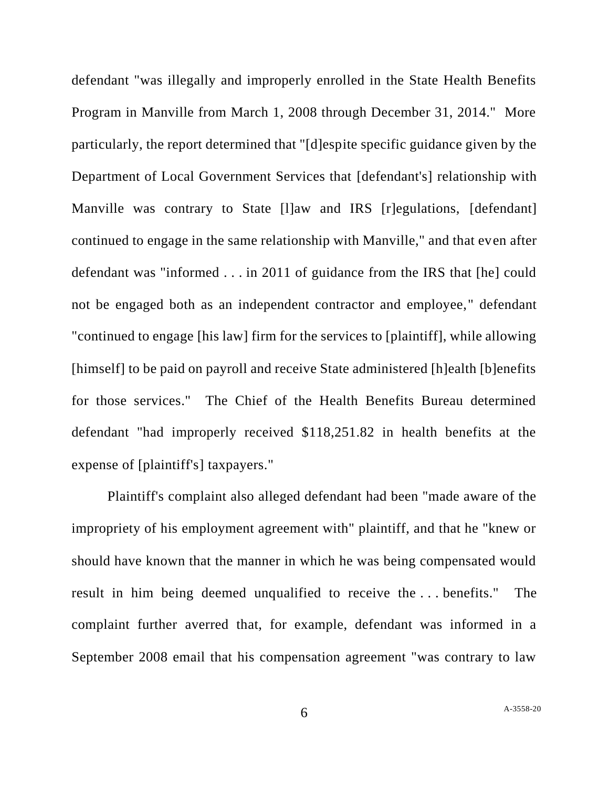defendant "was illegally and improperly enrolled in the State Health Benefits Program in Manville from March 1, 2008 through December 31, 2014." More particularly, the report determined that "[d]espite specific guidance given by the Department of Local Government Services that [defendant's] relationship with Manville was contrary to State [l]aw and IRS [r]egulations, [defendant] continued to engage in the same relationship with Manville," and that even after defendant was "informed . . . in 2011 of guidance from the IRS that [he] could not be engaged both as an independent contractor and employee," defendant "continued to engage [his law] firm for the services to [plaintiff], while allowing [himself] to be paid on payroll and receive State administered [h]ealth [b]enefits for those services." The Chief of the Health Benefits Bureau determined defendant "had improperly received \$118,251.82 in health benefits at the expense of [plaintiff's] taxpayers."

Plaintiff's complaint also alleged defendant had been "made aware of the impropriety of his employment agreement with" plaintiff, and that he "knew or should have known that the manner in which he was being compensated would result in him being deemed unqualified to receive the . . . benefits." The complaint further averred that, for example, defendant was informed in a September 2008 email that his compensation agreement "was contrary to law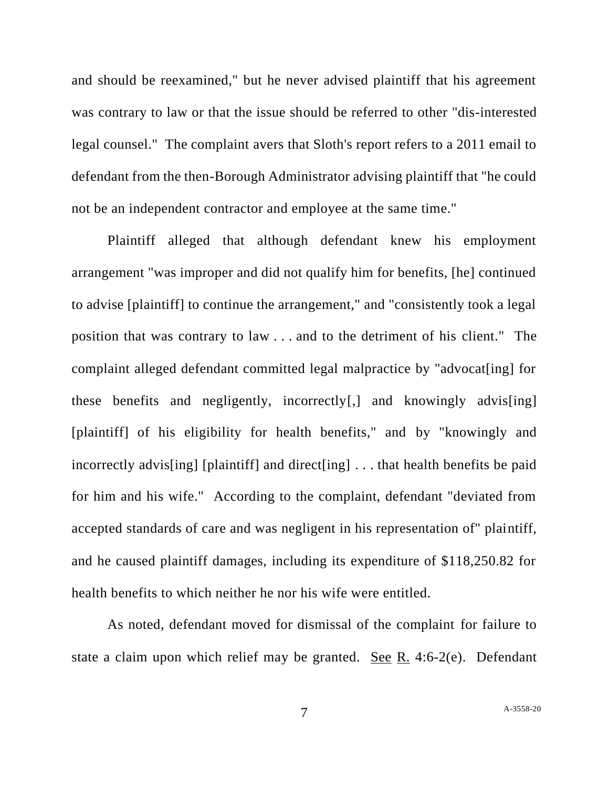and should be reexamined," but he never advised plaintiff that his agreement was contrary to law or that the issue should be referred to other "dis-interested legal counsel." The complaint avers that Sloth's report refers to a 2011 email to defendant from the then-Borough Administrator advising plaintiff that "he could not be an independent contractor and employee at the same time."

Plaintiff alleged that although defendant knew his employment arrangement "was improper and did not qualify him for benefits, [he] continued to advise [plaintiff] to continue the arrangement," and "consistently took a legal position that was contrary to law . . . and to the detriment of his client." The complaint alleged defendant committed legal malpractice by "advocat[ing] for these benefits and negligently, incorrectly[,] and knowingly advis[ing] [plaintiff] of his eligibility for health benefits," and by "knowingly and incorrectly advis[ing] [plaintiff] and direct[ing] . . . that health benefits be paid for him and his wife." According to the complaint, defendant "deviated from accepted standards of care and was negligent in his representation of" plaintiff, and he caused plaintiff damages, including its expenditure of \$118,250.82 for health benefits to which neither he nor his wife were entitled.

As noted, defendant moved for dismissal of the complaint for failure to state a claim upon which relief may be granted. See R. 4:6-2(e). Defendant

7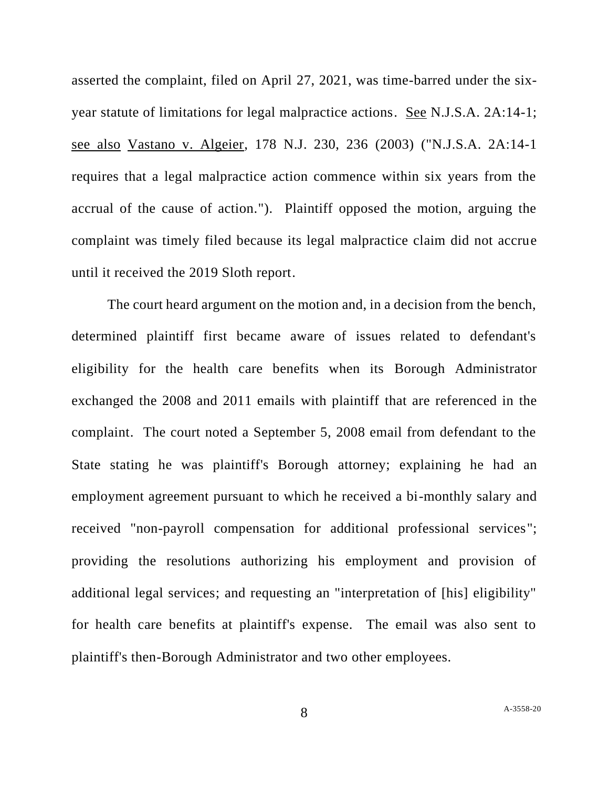asserted the complaint, filed on April 27, 2021, was time-barred under the sixyear statute of limitations for legal malpractice actions. See N.J.S.A. 2A:14-1; see also Vastano v. Algeier, 178 N.J. 230, 236 (2003) ("N.J.S.A. 2A:14-1 requires that a legal malpractice action commence within six years from the accrual of the cause of action."). Plaintiff opposed the motion, arguing the complaint was timely filed because its legal malpractice claim did not accrue until it received the 2019 Sloth report.

The court heard argument on the motion and, in a decision from the bench, determined plaintiff first became aware of issues related to defendant's eligibility for the health care benefits when its Borough Administrator exchanged the 2008 and 2011 emails with plaintiff that are referenced in the complaint. The court noted a September 5, 2008 email from defendant to the State stating he was plaintiff's Borough attorney; explaining he had an employment agreement pursuant to which he received a bi-monthly salary and received "non-payroll compensation for additional professional services"; providing the resolutions authorizing his employment and provision of additional legal services; and requesting an "interpretation of [his] eligibility" for health care benefits at plaintiff's expense. The email was also sent to plaintiff's then-Borough Administrator and two other employees.

8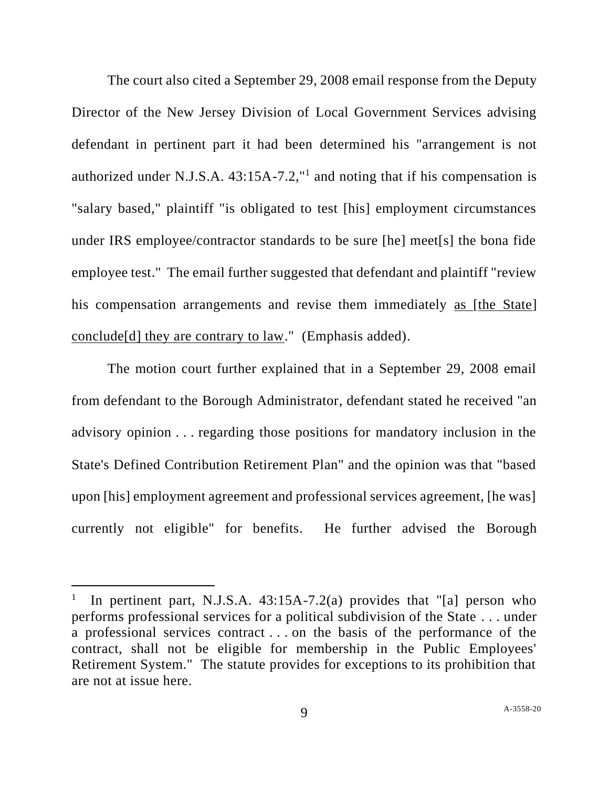The court also cited a September 29, 2008 email response from the Deputy Director of the New Jersey Division of Local Government Services advising defendant in pertinent part it had been determined his "arrangement is not authorized under N.J.S.A.  $43:15A-7.2$ ,"<sup>1</sup> and noting that if his compensation is "salary based," plaintiff "is obligated to test [his] employment circumstances under IRS employee/contractor standards to be sure [he] meet[s] the bona fide employee test." The email further suggested that defendant and plaintiff "review his compensation arrangements and revise them immediately as [the State] conclude[d] they are contrary to law." (Emphasis added).

The motion court further explained that in a September 29, 2008 email from defendant to the Borough Administrator, defendant stated he received "an advisory opinion . . . regarding those positions for mandatory inclusion in the State's Defined Contribution Retirement Plan" and the opinion was that "based upon [his] employment agreement and professional services agreement, [he was] currently not eligible" for benefits. He further advised the Borough

<sup>1</sup> In pertinent part, N.J.S.A. 43:15A-7.2(a) provides that "[a] person who performs professional services for a political subdivision of the State . . . under a professional services contract . . . on the basis of the performance of the contract, shall not be eligible for membership in the Public Employees' Retirement System." The statute provides for exceptions to its prohibition that are not at issue here.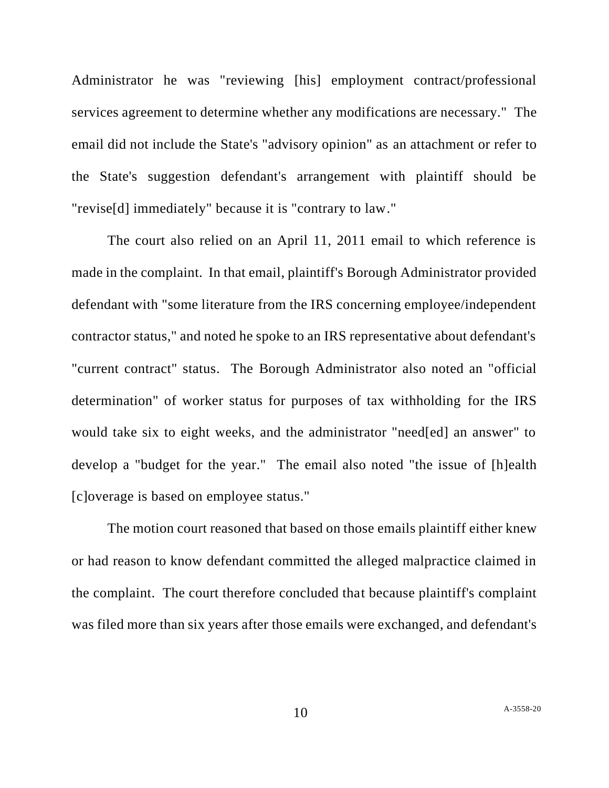Administrator he was "reviewing [his] employment contract/professional services agreement to determine whether any modifications are necessary." The email did not include the State's "advisory opinion" as an attachment or refer to the State's suggestion defendant's arrangement with plaintiff should be "revise[d] immediately" because it is "contrary to law."

The court also relied on an April 11, 2011 email to which reference is made in the complaint. In that email, plaintiff's Borough Administrator provided defendant with "some literature from the IRS concerning employee/independent contractor status," and noted he spoke to an IRS representative about defendant's "current contract" status. The Borough Administrator also noted an "official determination" of worker status for purposes of tax withholding for the IRS would take six to eight weeks, and the administrator "need[ed] an answer" to develop a "budget for the year." The email also noted "the issue of [h]ealth [c]overage is based on employee status."

The motion court reasoned that based on those emails plaintiff either knew or had reason to know defendant committed the alleged malpractice claimed in the complaint. The court therefore concluded that because plaintiff's complaint was filed more than six years after those emails were exchanged, and defendant's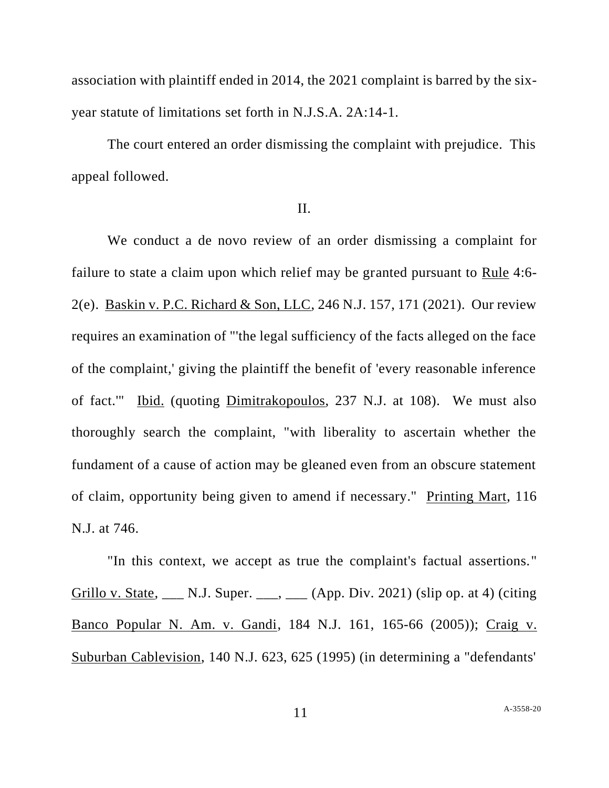association with plaintiff ended in 2014, the 2021 complaint is barred by the sixyear statute of limitations set forth in N.J.S.A. 2A:14-1.

The court entered an order dismissing the complaint with prejudice. This appeal followed.

#### II.

We conduct a de novo review of an order dismissing a complaint for failure to state a claim upon which relief may be granted pursuant to Rule 4:6- 2(e). Baskin v. P.C. Richard & Son, LLC, 246 N.J. 157, 171 (2021). Our review requires an examination of "'the legal sufficiency of the facts alleged on the face of the complaint,' giving the plaintiff the benefit of 'every reasonable inference of fact.'" Ibid. (quoting Dimitrakopoulos, 237 N.J. at 108). We must also thoroughly search the complaint, "with liberality to ascertain whether the fundament of a cause of action may be gleaned even from an obscure statement of claim, opportunity being given to amend if necessary." Printing Mart, 116 N.J. at 746.

"In this context, we accept as true the complaint's factual assertions." Grillo v. State,  $\Box$  N.J. Super.  $\Box$ ,  $\Box$  (App. Div. 2021) (slip op. at 4) (citing Banco Popular N. Am. v. Gandi, 184 N.J. 161, 165-66 (2005)); Craig v. Suburban Cablevision, 140 N.J. 623, 625 (1995) (in determining a "defendants'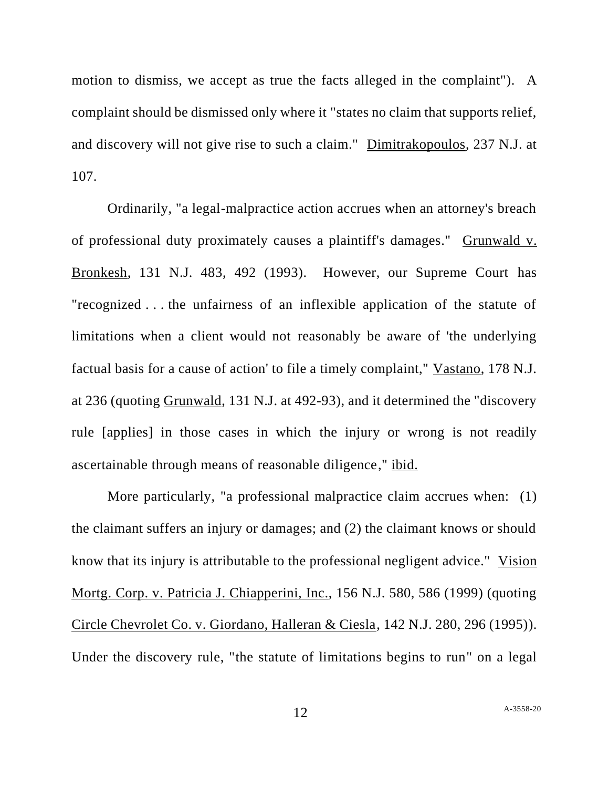motion to dismiss, we accept as true the facts alleged in the complaint"). A complaint should be dismissed only where it "states no claim that supports relief, and discovery will not give rise to such a claim." Dimitrakopoulos, 237 N.J. at 107.

Ordinarily, "a legal-malpractice action accrues when an attorney's breach of professional duty proximately causes a plaintiff's damages." Grunwald v. Bronkesh, 131 N.J. 483, 492 (1993). However, our Supreme Court has "recognized . . . the unfairness of an inflexible application of the statute of limitations when a client would not reasonably be aware of 'the underlying factual basis for a cause of action' to file a timely complaint," Vastano, 178 N.J. at 236 (quoting Grunwald, 131 N.J. at 492-93), and it determined the "discovery rule [applies] in those cases in which the injury or wrong is not readily ascertainable through means of reasonable diligence," ibid.

More particularly, "a professional malpractice claim accrues when: (1) the claimant suffers an injury or damages; and (2) the claimant knows or should know that its injury is attributable to the professional negligent advice." Vision Mortg. Corp. v. Patricia J. Chiapperini, Inc., 156 N.J. 580, 586 (1999) (quoting Circle Chevrolet Co. v. Giordano, Halleran & Ciesla, 142 N.J. 280, 296 (1995)). Under the discovery rule, "the statute of limitations begins to run" on a legal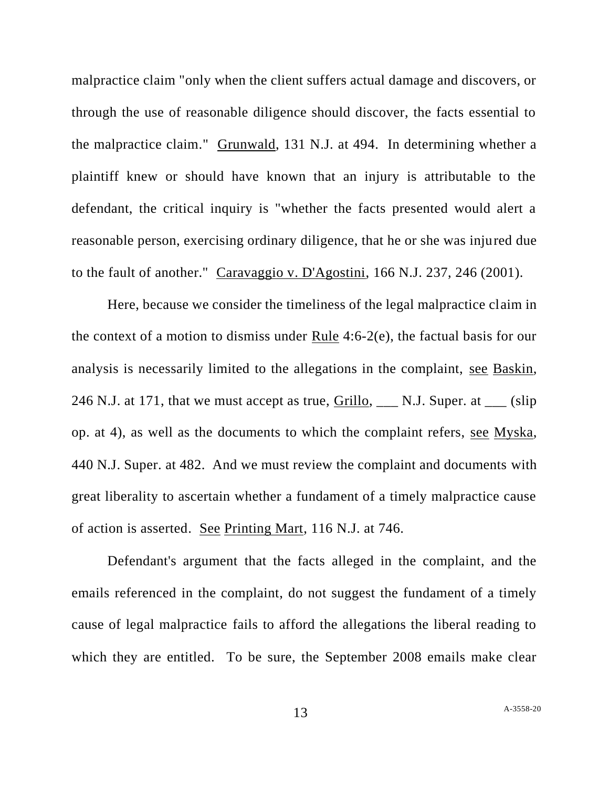malpractice claim "only when the client suffers actual damage and discovers, or through the use of reasonable diligence should discover, the facts essential to the malpractice claim." Grunwald, 131 N.J. at 494. In determining whether a plaintiff knew or should have known that an injury is attributable to the defendant, the critical inquiry is "whether the facts presented would alert a reasonable person, exercising ordinary diligence, that he or she was injured due to the fault of another." Caravaggio v. D'Agostini, 166 N.J. 237, 246 (2001).

Here, because we consider the timeliness of the legal malpractice claim in the context of a motion to dismiss under Rule 4:6-2(e), the factual basis for our analysis is necessarily limited to the allegations in the complaint, see Baskin, 246 N.J. at 171, that we must accept as true, Grillo,  $\_\_$  N.J. Super. at  $\_\_$  (slip) op. at 4), as well as the documents to which the complaint refers, see Myska, 440 N.J. Super. at 482. And we must review the complaint and documents with great liberality to ascertain whether a fundament of a timely malpractice cause of action is asserted. See Printing Mart, 116 N.J. at 746.

Defendant's argument that the facts alleged in the complaint, and the emails referenced in the complaint, do not suggest the fundament of a timely cause of legal malpractice fails to afford the allegations the liberal reading to which they are entitled. To be sure, the September 2008 emails make clear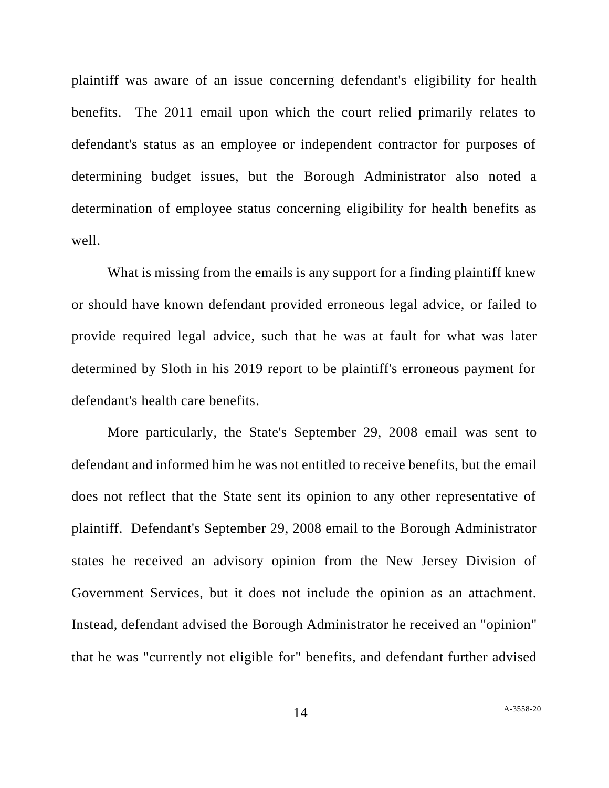plaintiff was aware of an issue concerning defendant's eligibility for health benefits. The 2011 email upon which the court relied primarily relates to defendant's status as an employee or independent contractor for purposes of determining budget issues, but the Borough Administrator also noted a determination of employee status concerning eligibility for health benefits as well.

What is missing from the emails is any support for a finding plaintiff knew or should have known defendant provided erroneous legal advice, or failed to provide required legal advice, such that he was at fault for what was later determined by Sloth in his 2019 report to be plaintiff's erroneous payment for defendant's health care benefits.

More particularly, the State's September 29, 2008 email was sent to defendant and informed him he was not entitled to receive benefits, but the email does not reflect that the State sent its opinion to any other representative of plaintiff. Defendant's September 29, 2008 email to the Borough Administrator states he received an advisory opinion from the New Jersey Division of Government Services, but it does not include the opinion as an attachment. Instead, defendant advised the Borough Administrator he received an "opinion" that he was "currently not eligible for" benefits, and defendant further advised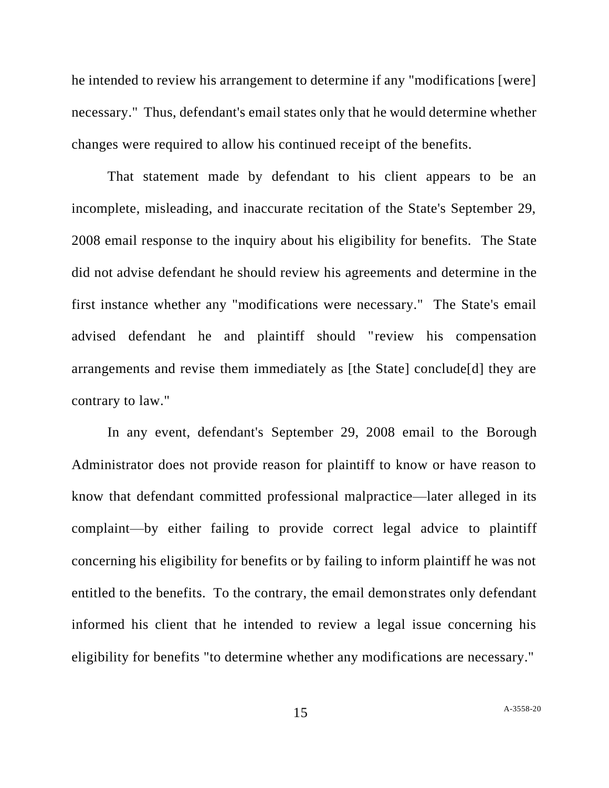he intended to review his arrangement to determine if any "modifications [were] necessary." Thus, defendant's email states only that he would determine whether changes were required to allow his continued receipt of the benefits.

That statement made by defendant to his client appears to be an incomplete, misleading, and inaccurate recitation of the State's September 29, 2008 email response to the inquiry about his eligibility for benefits. The State did not advise defendant he should review his agreements and determine in the first instance whether any "modifications were necessary." The State's email advised defendant he and plaintiff should "review his compensation arrangements and revise them immediately as [the State] conclude[d] they are contrary to law."

In any event, defendant's September 29, 2008 email to the Borough Administrator does not provide reason for plaintiff to know or have reason to know that defendant committed professional malpractice—later alleged in its complaint—by either failing to provide correct legal advice to plaintiff concerning his eligibility for benefits or by failing to inform plaintiff he was not entitled to the benefits. To the contrary, the email demonstrates only defendant informed his client that he intended to review a legal issue concerning his eligibility for benefits "to determine whether any modifications are necessary."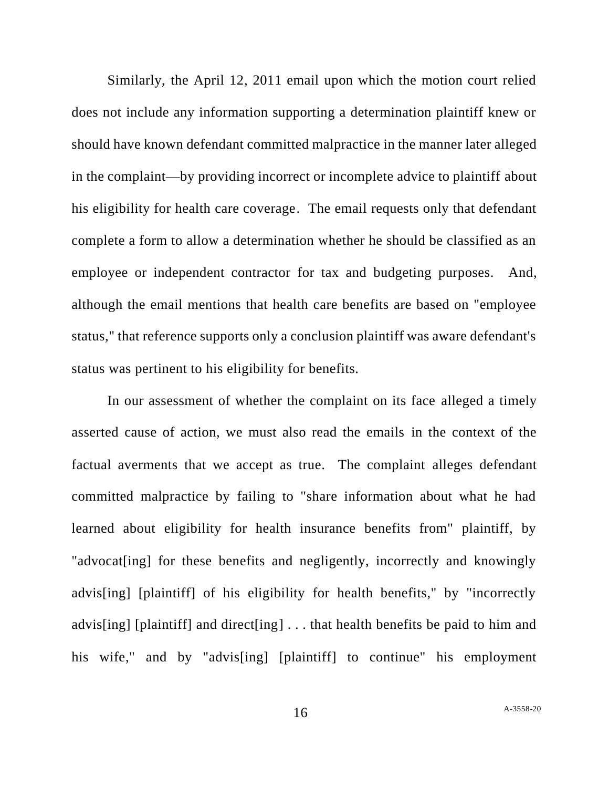Similarly, the April 12, 2011 email upon which the motion court relied does not include any information supporting a determination plaintiff knew or should have known defendant committed malpractice in the manner later alleged in the complaint—by providing incorrect or incomplete advice to plaintiff about his eligibility for health care coverage. The email requests only that defendant complete a form to allow a determination whether he should be classified as an employee or independent contractor for tax and budgeting purposes. And, although the email mentions that health care benefits are based on "employee status," that reference supports only a conclusion plaintiff was aware defendant's status was pertinent to his eligibility for benefits.

In our assessment of whether the complaint on its face alleged a timely asserted cause of action, we must also read the emails in the context of the factual averments that we accept as true. The complaint alleges defendant committed malpractice by failing to "share information about what he had learned about eligibility for health insurance benefits from" plaintiff, by "advocat [ing] for these benefits and negligently, incorrectly and knowingly advis[ing] [plaintiff] of his eligibility for health benefits," by "incorrectly advis[ing] [plaintiff] and direct[ing] . . . that health benefits be paid to him and his wife," and by "advis[ing] [plaintiff] to continue" his employment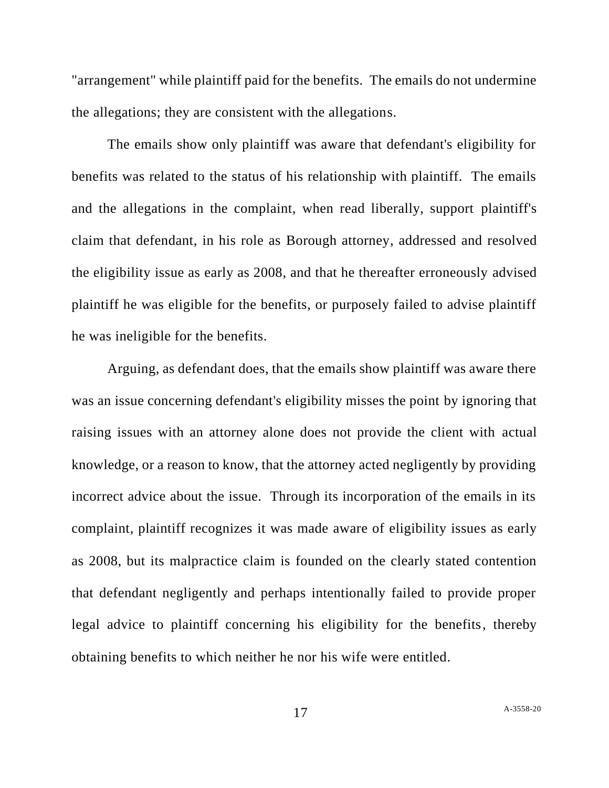"arrangement" while plaintiff paid for the benefits. The emails do not undermine the allegations; they are consistent with the allegations.

The emails show only plaintiff was aware that defendant's eligibility for benefits was related to the status of his relationship with plaintiff. The emails and the allegations in the complaint, when read liberally, support plaintiff's claim that defendant, in his role as Borough attorney, addressed and resolved the eligibility issue as early as 2008, and that he thereafter erroneously advised plaintiff he was eligible for the benefits, or purposely failed to advise plaintiff he was ineligible for the benefits.

Arguing, as defendant does, that the emails show plaintiff was aware there was an issue concerning defendant's eligibility misses the point by ignoring that raising issues with an attorney alone does not provide the client with actual knowledge, or a reason to know, that the attorney acted negligently by providing incorrect advice about the issue. Through its incorporation of the emails in its complaint, plaintiff recognizes it was made aware of eligibility issues as early as 2008, but its malpractice claim is founded on the clearly stated contention that defendant negligently and perhaps intentionally failed to provide proper legal advice to plaintiff concerning his eligibility for the benefits, thereby obtaining benefits to which neither he nor his wife were entitled.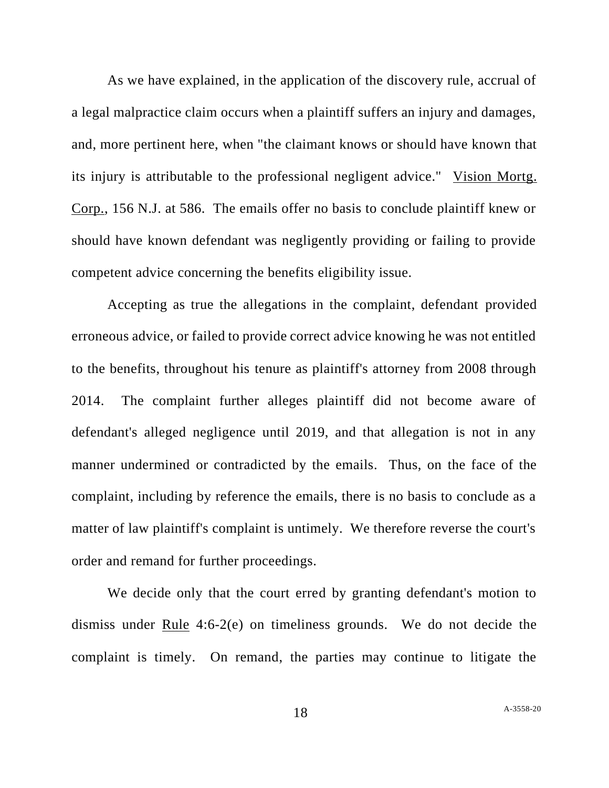As we have explained, in the application of the discovery rule, accrual of a legal malpractice claim occurs when a plaintiff suffers an injury and damages, and, more pertinent here, when "the claimant knows or should have known that its injury is attributable to the professional negligent advice." Vision Mortg. Corp., 156 N.J. at 586. The emails offer no basis to conclude plaintiff knew or should have known defendant was negligently providing or failing to provide competent advice concerning the benefits eligibility issue.

Accepting as true the allegations in the complaint, defendant provided erroneous advice, or failed to provide correct advice knowing he was not entitled to the benefits, throughout his tenure as plaintiff's attorney from 2008 through 2014. The complaint further alleges plaintiff did not become aware of defendant's alleged negligence until 2019, and that allegation is not in any manner undermined or contradicted by the emails. Thus, on the face of the complaint, including by reference the emails, there is no basis to conclude as a matter of law plaintiff's complaint is untimely. We therefore reverse the court's order and remand for further proceedings.

We decide only that the court erred by granting defendant's motion to dismiss under Rule 4:6-2(e) on timeliness grounds. We do not decide the complaint is timely. On remand, the parties may continue to litigate the